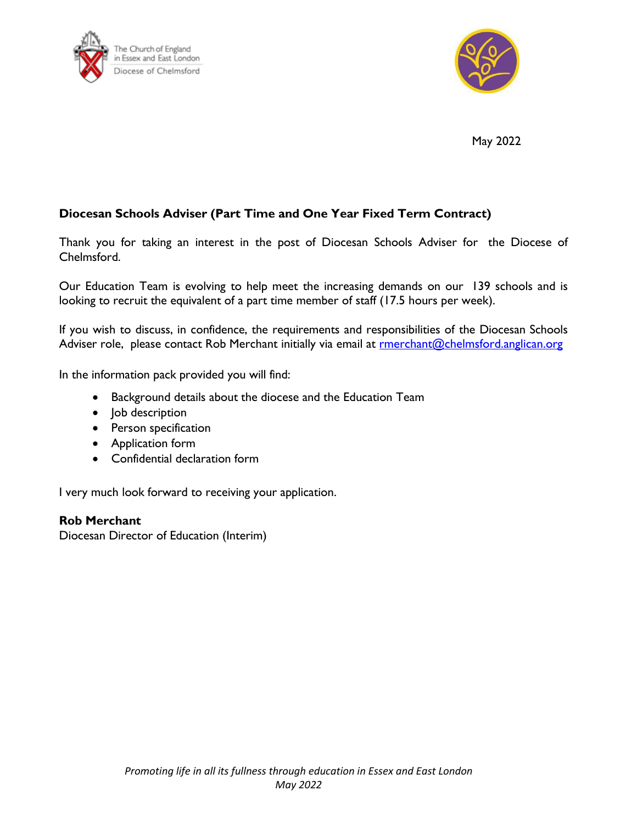



May 2022

# **Diocesan Schools Adviser (Part Time and One Year Fixed Term Contract)**

Thank you for taking an interest in the post of Diocesan Schools Adviser for the Diocese of Chelmsford.

Our Education Team is evolving to help meet the increasing demands on our 139 schools and is looking to recruit the equivalent of a part time member of staff (17.5 hours per week).

If you wish to discuss, in confidence, the requirements and responsibilities of the Diocesan Schools Adviser role, please contact Rob Merchant initially via email at **rmerchant@chelmsford.anglican.org** 

In the information pack provided you will find:

- Background details about the diocese and the Education Team
- Job description
- Person specification
- Application form
- Confidential declaration form

I very much look forward to receiving your application.

**Rob Merchant**

Diocesan Director of Education (Interim)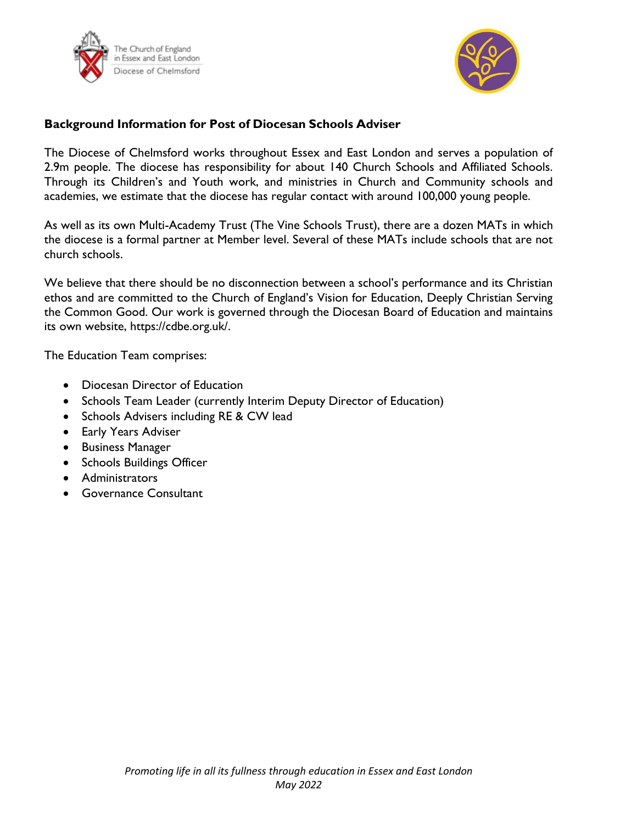



## **Background Information for Post of Diocesan Schools Adviser**

The Diocese of Chelmsford works throughout Essex and East London and serves a population of 2.9m people. The diocese has responsibility for about 140 Church Schools and Affiliated Schools. Through its Children's and Youth work, and ministries in Church and Community schools and academies, we estimate that the diocese has regular contact with around 100,000 young people.

As well as its own Multi-Academy Trust (The Vine Schools Trust), there are a dozen MATs in which the diocese is a formal partner at Member level. Several of these MATs include schools that are not church schools.

We believe that there should be no disconnection between a school's performance and its Christian ethos and are committed to the Church of England's Vision for Education, Deeply Christian Serving the Common Good. Our work is governed through the Diocesan Board of Education and maintains its own website, https://cdbe.org.uk/.

The Education Team comprises:

- Diocesan Director of Education
- Schools Team Leader (currently Interim Deputy Director of Education)
- Schools Advisers including RE & CW lead
- Early Years Adviser
- Business Manager
- Schools Buildings Officer
- Administrators
- Governance Consultant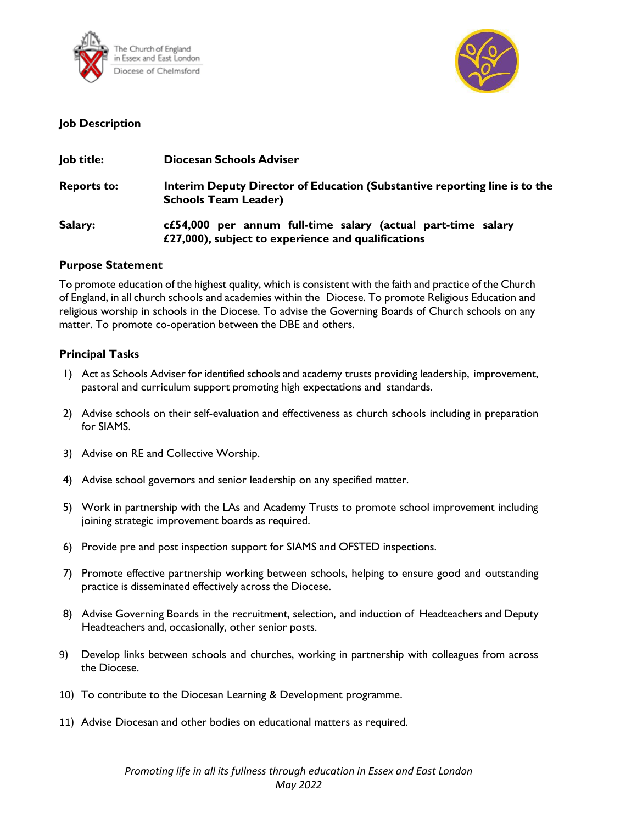



### **Job Description**

| Job title:         | Diocesan Schools Adviser                                                                                           |  |
|--------------------|--------------------------------------------------------------------------------------------------------------------|--|
| <b>Reports to:</b> | Interim Deputy Director of Education (Substantive reporting line is to the<br><b>Schools Team Leader)</b>          |  |
| Salary:            | c£54,000 per annum full-time salary (actual part-time salary<br>£27,000), subject to experience and qualifications |  |

#### **Purpose Statement**

To promote education of the highest quality, which is consistent with the faith and practice of the Church of England, in all church schools and academies within the Diocese. To promote Religious Education and religious worship in schools in the Diocese. To advise the Governing Boards of Church schools on any matter. To promote co-operation between the DBE and others.

#### **Principal Tasks**

- 1) Act as Schools Adviser for identified schools and academy trusts providing leadership, improvement, pastoral and curriculum support promoting high expectations and standards.
- 2) Advise schools on their self-evaluation and effectiveness as church schools including in preparation for SIAMS.
- 3) Advise on RE and Collective Worship.
- 4) Advise school governors and senior leadership on any specified matter.
- 5) Work in partnership with the LAs and Academy Trusts to promote school improvement including joining strategic improvement boards as required.
- 6) Provide pre and post inspection support for SIAMS and OFSTED inspections.
- 7) Promote effective partnership working between schools, helping to ensure good and outstanding practice is disseminated effectively across the Diocese.
- 8) Advise Governing Boards in the recruitment, selection, and induction of Headteachers and Deputy Headteachers and, occasionally, other senior posts.
- 9) Develop links between schools and churches, working in partnership with colleagues from across the Diocese.
- 10) To contribute to the Diocesan Learning & Development programme.
- 11) Advise Diocesan and other bodies on educational matters as required.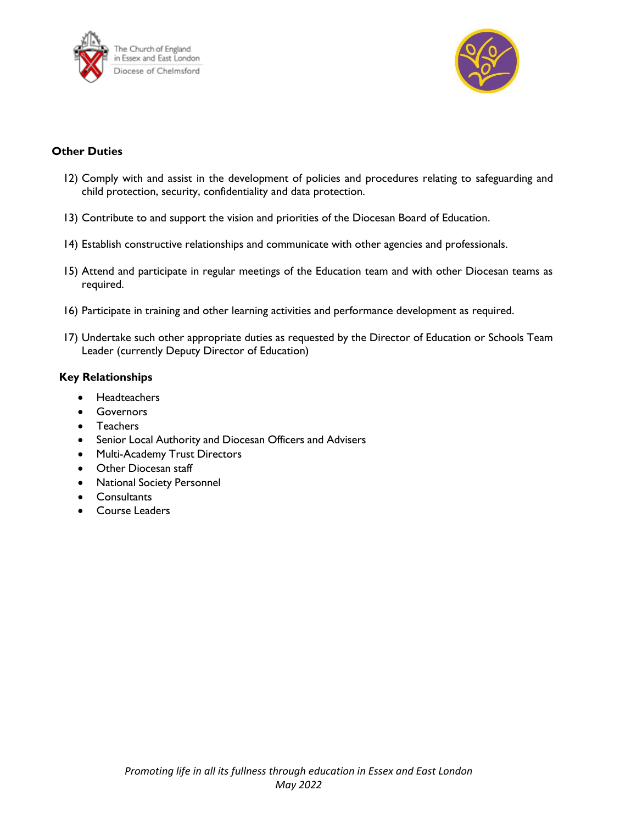



### **Other Duties**

- 12) Comply with and assist in the development of policies and procedures relating to safeguarding and child protection, security, confidentiality and data protection.
- 13) Contribute to and support the vision and priorities of the Diocesan Board of Education.
- 14) Establish constructive relationships and communicate with other agencies and professionals.
- 15) Attend and participate in regular meetings of the Education team and with other Diocesan teams as required.
- 16) Participate in training and other learning activities and performance development as required.
- 17) Undertake such other appropriate duties as requested by the Director of Education or Schools Team Leader (currently Deputy Director of Education)

#### **Key Relationships**

- Headteachers
- Governors
- Teachers
- Senior Local Authority and Diocesan Officers and Advisers
- Multi-Academy Trust Directors
- Other Diocesan staff
- National Society Personnel
- Consultants
- Course Leaders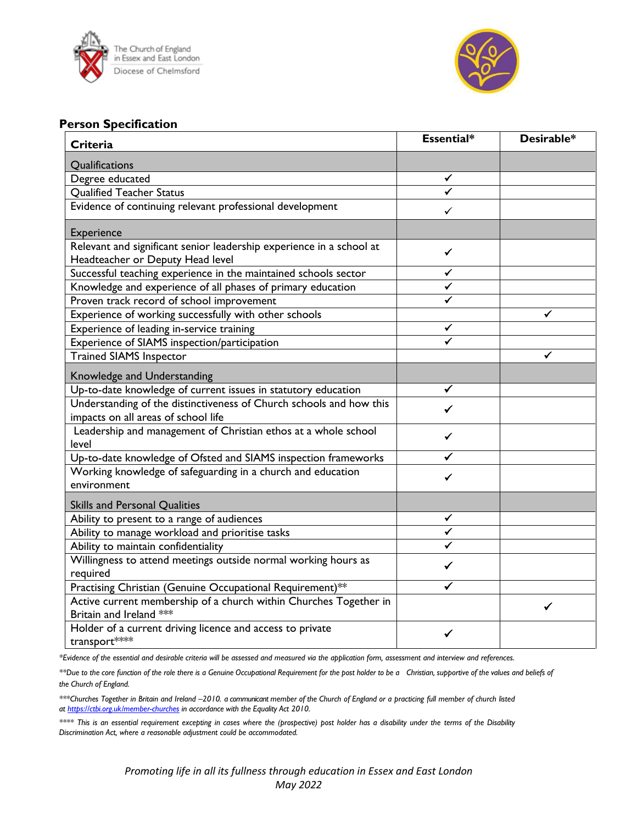



### **Person Specification**

| <b>Criteria</b>                                                                                            | Essential* | Desirable* |
|------------------------------------------------------------------------------------------------------------|------------|------------|
| Qualifications                                                                                             |            |            |
| Degree educated                                                                                            | ✓          |            |
| <b>Qualified Teacher Status</b>                                                                            | ✔          |            |
| Evidence of continuing relevant professional development                                                   | ✓          |            |
| Experience                                                                                                 |            |            |
| Relevant and significant senior leadership experience in a school at<br>Headteacher or Deputy Head level   | ✔          |            |
| Successful teaching experience in the maintained schools sector                                            | ✓          |            |
| Knowledge and experience of all phases of primary education                                                |            |            |
| Proven track record of school improvement                                                                  |            |            |
| Experience of working successfully with other schools                                                      |            | ✓          |
| Experience of leading in-service training                                                                  |            |            |
| Experience of SIAMS inspection/participation                                                               |            |            |
| <b>Trained SIAMS Inspector</b>                                                                             |            | ✓          |
| Knowledge and Understanding                                                                                |            |            |
| Up-to-date knowledge of current issues in statutory education                                              | ✓          |            |
| Understanding of the distinctiveness of Church schools and how this<br>impacts on all areas of school life | ✓          |            |
| Leadership and management of Christian ethos at a whole school<br>level                                    | ✓          |            |
| Up-to-date knowledge of Ofsted and SIAMS inspection frameworks                                             | ✓          |            |
| Working knowledge of safeguarding in a church and education<br>environment                                 | ✔          |            |
| Skills and Personal Qualities                                                                              |            |            |
| Ability to present to a range of audiences                                                                 | ✓          |            |
| Ability to manage workload and prioritise tasks                                                            | ✔          |            |
| Ability to maintain confidentiality                                                                        | ✔          |            |
| Willingness to attend meetings outside normal working hours as                                             | ✓          |            |
| required                                                                                                   |            |            |
| Practising Christian (Genuine Occupational Requirement)**                                                  | ✔          |            |
| Active current membership of a church within Churches Together in<br>Britain and Ireland ***               |            |            |
| Holder of a current driving licence and access to private<br>transport****                                 | ✓          |            |

*\*Evidence of the essential and desirable criteria will be assessed and measured via the application form, assessment and interview and references.* 

\*\*Due to the core function of the role there is a Genuine Occupational Requirement for the post holder to be a Christian, supportive of the values and beliefs of *the Church of England.*

*\*\*\*Churches Together in Britain and Ireland –2010. a communicant member of the Church of England or a practicing full member of church listed at<https://ctbi.org.uk/member-churches> in accordance with the Equality Act 2010.*

*\*\*\*\* This is an essential requirement excepting in cases where the (prospective) post holder has a disability under the terms of the Disability Discrimination Act, where a reasonable adjustment could be accommodated.*